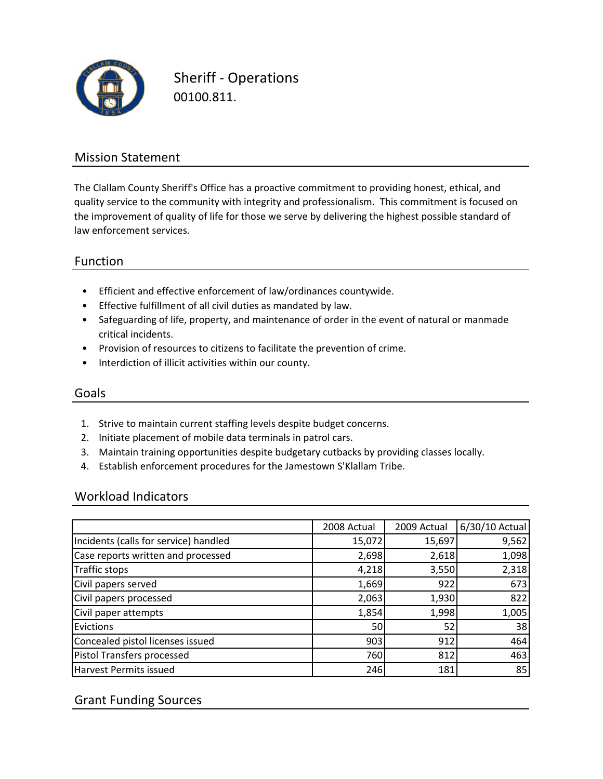

Sheriff ‐ Operations 00100.811.

## Mission Statement

The Clallam County Sheriff's Office has a proactive commitment to providing honest, ethical, and quality service to the community with integrity and professionalism. This commitment is focused on the improvement of quality of life for those we serve by delivering the highest possible standard of law enforcement services.

## Function

- Efficient and effective enforcement of law/ordinances countywide.
- Effective fulfillment of all civil duties as mandated by law.
- Safeguarding of life, property, and maintenance of order in the event of natural or manmade critical incidents.
- Provision of resources to citizens to facilitate the prevention of crime.
- Interdiction of illicit activities within our county.

#### Goals

- 1. Strive to maintain current staffing levels despite budget concerns.
- 2. Initiate placement of mobile data terminals in patrol cars.
- 3. Maintain training opportunities despite budgetary cutbacks by providing classes locally.
- 4. Establish enforcement procedures for the Jamestown S'Klallam Tribe.

#### Workload Indicators

|                                       | 2008 Actual | 2009 Actual | 6/30/10 Actual |
|---------------------------------------|-------------|-------------|----------------|
| Incidents (calls for service) handled | 15,072      | 15,697      | 9,562          |
| Case reports written and processed    | 2,698       | 2,618       | 1,098          |
| <b>Traffic stops</b>                  | 4,218       | 3,550       | 2,318          |
| Civil papers served                   | 1,669       | 922         | 673            |
| Civil papers processed                | 2,063       | 1,930       | 822            |
| Civil paper attempts                  | 1,854       | 1,998       | 1,005          |
| Evictions                             | 50          | 52          | 38             |
| Concealed pistol licenses issued      | 903         | 912         | 464            |
| Pistol Transfers processed            | 760         | 812         | 463            |
| Harvest Permits issued                | 246         | 181         | 85             |

# Grant Funding Sources